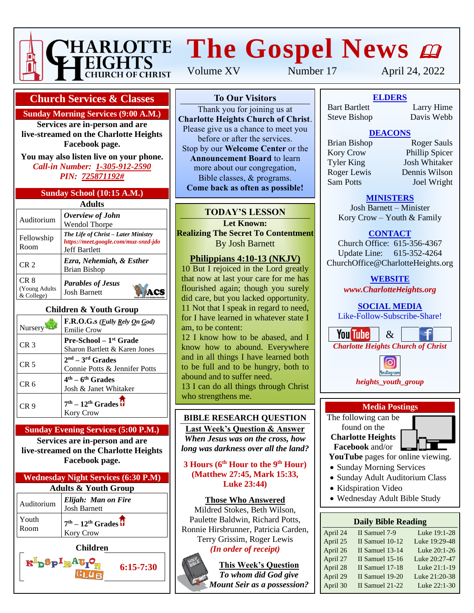

# **HARLOTTE The Gospel News @**

**Church Services & Classes**

**Sunday Morning Services (9:00 A.M.)**

**Services are in-person and are live-streamed on the Charlotte Heights Facebook page.**

**You may also listen live on your phone.** *Call-in Number: 1-305-912-2590 PIN: 725871192#*

#### **Sunday School (10:15 A.M.)**

| <b>Adults</b>                       |                                                                                                     |  |  |  |
|-------------------------------------|-----------------------------------------------------------------------------------------------------|--|--|--|
| Auditorium                          | Overview of John<br><b>Wendol Thorpe</b>                                                            |  |  |  |
| Fellowship<br>Room                  | The Life of Christ – Later Ministry<br>https://meet.google.com/muz-snzd-jdo<br><b>Jeff Bartlett</b> |  |  |  |
| CR <sub>2</sub>                     | Ezra, Nehemiah, & Esther<br><b>Brian Bishop</b>                                                     |  |  |  |
| CR 8<br>(Young Adults<br>& College) | <b>Parables of Jesus</b><br><b>Josh Barnett</b>                                                     |  |  |  |

#### **Children & Youth Group**

| Nursery <sup>3</sup> | F.R.O.G.s ( <i>Fully Rely On God</i> )<br><b>Emilie Crow</b>        |
|----------------------|---------------------------------------------------------------------|
| CR <sub>3</sub>      | Pre-School - 1 <sup>st</sup> Grade<br>Sharon Bartlett & Karen Jones |
| CR <sub>5</sub>      | $2nd - 3rd$ Grades<br>Connie Potts & Jennifer Potts                 |
| CR 6                 | $4th - 6th$ Grades<br>Josh & Janet Whitaker                         |
| CR 9                 | $7th - 12th$ Grades $\overline{\textbf{U}}$<br>Kory Crow            |

#### **Sunday Evening Services (5:00 P.M.)**

**Services are in-person and are live-streamed on the Charlotte Heights Facebook page.**

| <b>Wednesday Night Services (6:30 P.M)</b> |                                            |  |  |
|--------------------------------------------|--------------------------------------------|--|--|
| <b>Adults &amp; Youth Group</b>            |                                            |  |  |
| Auditorium                                 | Elijah: Man on Fire<br><b>Josh Barnett</b> |  |  |
| Youth<br>Room                              | $7th - 12th Grades$<br>Kory Crow           |  |  |
| <b>Children</b>                            |                                            |  |  |

 $R^{\perp}$ pöp $\perp$   $R^{\perp}$ g $\perp$ 

Volume XV Number 17 April 24, 2022

## **To Our Visitors**

Thank you for joining us at **Charlotte Heights Church of Christ**. Please give us a chance to meet you before or after the services. Stop by our **Welcome Center** or the **Announcement Board** to learn more about our congregation, Bible classes, & programs. **Come back as often as possible!**

## **TODAY'S LESSON**

**Let Known: Realizing The Secret To Contentment** By Josh Barnett

## **Philippians 4:10-13 (NKJV)**

10 But I rejoiced in the Lord greatly that now at last your care for me has flourished again; though you surely did care, but you lacked opportunity. 11 Not that I speak in regard to need, for I have learned in whatever state I am, to be content:

12 I know how to be abased, and I know how to abound. Everywhere and in all things I have learned both to be full and to be hungry, both to abound and to suffer need.

13 I can do all things through Christ who strengthens me.

## **BIBLE RESEARCH QUESTION**

**Last Week's Question & Answer** *When Jesus was on the cross, how long was darkness over all the land?*

**3 Hours (6th Hour to the 9th Hour) (Matthew 27:45, Mark 15:33, Luke 23:44)**

## **Those Who Answered**

Mildred Stokes, Beth Wilson, Paulette Baldwin, Richard Potts, Ronnie Hirsbrunner, Patricia Carden, Terry Grissim, Roger Lewis

# *(In order of receipt)*



**6:15-7:30**

**This Week's Question** *To whom did God give Mount Seir as a possession?*

**ELDERS** Bart Bartlett Larry Hime Steve Bishop Davis Webb

## **DEACONS**

Sam Potts **Joel Wright** 

Brian Bishop Roger Sauls Kory Crow Phillip Spicer Tyler King Josh Whitaker Roger Lewis Dennis Wilson

## **MINISTERS**

Josh Barnett – Minister Kory Crow – Youth & Family

# **CONTACT**

Church Office: 615-356-4367 Update Line: 615-352-4264 ChurchOffice@CharlotteHeights.org

**WEBSITE**

*www.CharlotteHeights.org*

**SOCIAL MEDIA** Like-Follow-Subscribe-Share!

**You Tube**  $\&$ *Charlotte Heights Church of Christ*





The following can be found on the **Charlotte Heights**

**Facebook** and/or **YouTube** pages for online viewing.

- Sunday Morning Services
- Sunday Adult Auditorium Class
- Kidspiration Video
- Wednesday Adult Bible Study

#### **Daily Bible Reading**

| Luke 19:1-28  |
|---------------|
| Luke 19:29-48 |
| Luke 20:1-26  |
| Luke 20:27-47 |
| Luke 21:1-19  |
| Luke 21:20-38 |
| Luke 22:1-30  |
|               |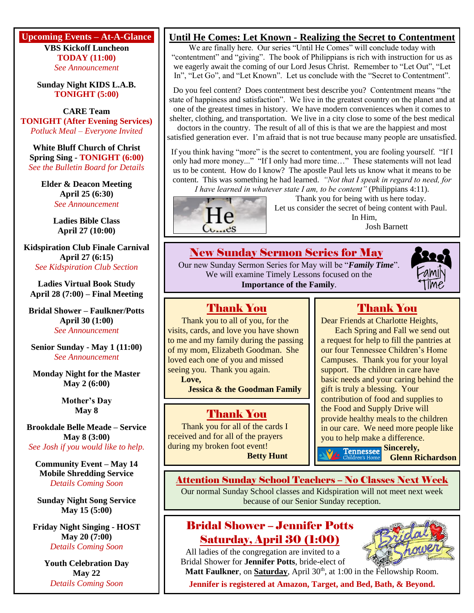**Upcoming Events – At-A-Glance VBS Kickoff Luncheon TODAY (11:00)** *See Announcement*

> **Sunday Night KIDS L.A.B. TONIGHT (5:00)**

**CARE Team TONIGHT (After Evening Services)** *Potluck Meal – Everyone Invited*

**White Bluff Church of Christ Spring Sing - TONIGHT (6:00)** *See the Bulletin Board for Details*

> **Elder & Deacon Meeting April 25 (6:30)** *See Announcement*

> > **Ladies Bible Class April 27 (10:00)**

**Kidspiration Club Finale Carnival April 27 (6:15)** *See Kidspiration Club Section*

**Ladies Virtual Book Study April 28 (7:00) – Final Meeting**

**Bridal Shower – Faulkner/Potts April 30 (1:00)** *See Announcement*

**Senior Sunday - May 1 (11:00)** *See Announcement*

**Monday Night for the Master May 2 (6:00)**

> **Mother's Day May 8**

**Brookdale Belle Meade – Service May 8 (3:00)** *See Josh if you would like to help.*

**Community Event – May 14 Mobile Shredding Service** *Details Coming Soon*

**Sunday Night Song Service May 15 (5:00)**

**Friday Night Singing - HOST May 20 (7:00)** *Details Coming Soon*

> **Youth Celebration Day May 22** *Details Coming Soon*

# **Until He Comes: Let Known - Realizing the Secret to Contentment**

We are finally here. Our series "Until He Comes" will conclude today with "contentment" and "giving". The book of Philippians is rich with instruction for us as we eagerly await the coming of our Lord Jesus Christ. Remember to "Let Out", "Let In", "Let Go", and "Let Known". Let us conclude with the "Secret to Contentment".

Do you feel content? Does contentment best describe you? Contentment means "the state of happiness and satisfaction". We live in the greatest country on the planet and at one of the greatest times in history. We have modern conveniences when it comes to shelter, clothing, and transportation. We live in a city close to some of the best medical doctors in the country. The result of all of this is that we are the happiest and most

satisfied generation ever. I'm afraid that is not true because many people are unsatisfied.

If you think having "more" is the secret to contentment, you are fooling yourself. "If I only had more money..." "If I only had more time…" These statements will not lead us to be content. How do I know? The apostle Paul lets us know what it means to be content. This was something he had learned. *"Not that I speak in regard to need, for* 

*I have learned in whatever state I am, to be content"* (Philippians 4:11).



Thank You Thank you to all of you, for the visits, cards, and love you have shown to me and my family during the passing of my mom, Elizabeth Goodman. She loved each one of you and missed seeing you. Thank you again.

**Jessica & the Goodman Family**

Thank You Thank you for all of the cards I received and for all of the prayers

**Love,**

Thank you for being with us here today. Let us consider the secret of being content with Paul. In Him,

Josh Barnett

## New Sunday Sermon Series for May

Our new Sunday Sermon Series for May will be "*Family Time*". We will examine Timely Lessons focused on the **Importance of the Family**.



Dear Friends at Charlotte Heights,

Each Spring and Fall we send out a request for help to fill the pantries at our four Tennessee Children's Home Campuses. Thank you for your loyal support. The children in care have basic needs and your caring behind the gift is truly a blessing. Your contribution of food and supplies to the Food and Supply Drive will provide healthy meals to the children in our care. We need more people like you to help make a difference.

during my broken foot event! **Betty Hunt** **Tennessee Sincerely,** 

**Glenn Richardson**

## Attention Sunday School Teachers – No Classes Next Week

Our normal Sunday School classes and Kidspiration will not meet next week because of our Senior Sunday reception.

# Bridal Shower – Jennifer Potts Saturday, April 30 (1:00)

All ladies of the congregation are invited to a Bridal Shower for **Jennifer Potts**, bride-elect of



**Matt Faulkner**, on **Saturday**, April 30<sup>th</sup>, at 1:00 in the Fellowship Room.

**Jennifer is registered at Amazon, Target, and Bed, Bath, & Beyond.**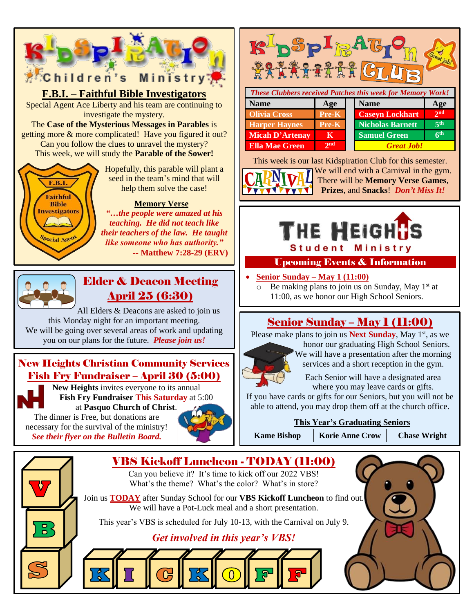